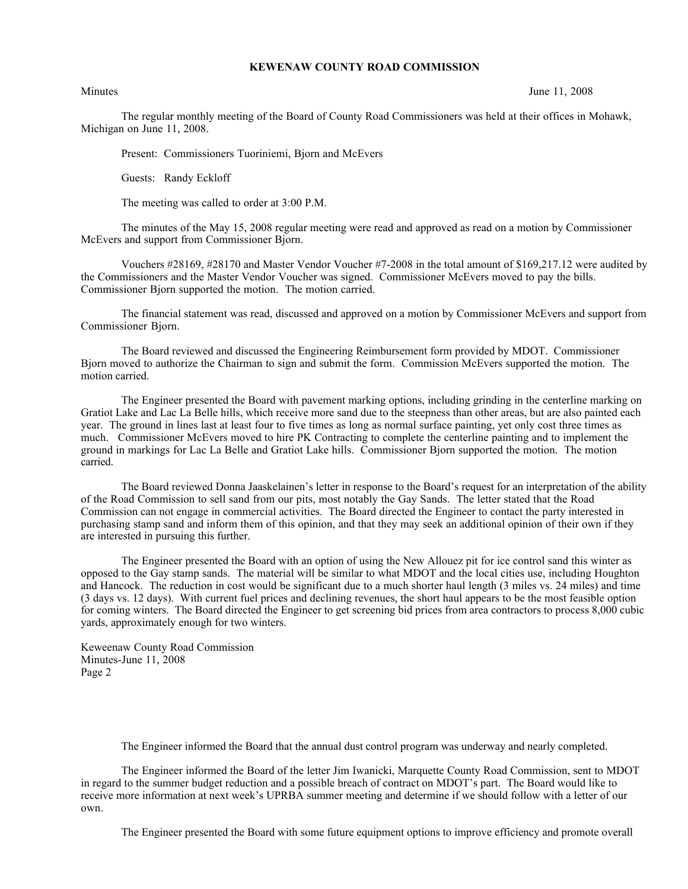## **KEWENAW COUNTY ROAD COMMISSION**

Minutes June 11, 2008

The regular monthly meeting of the Board of County Road Commissioners was held at their offices in Mohawk, Michigan on June 11, 2008.

Present: Commissioners Tuoriniemi, Bjorn and McEvers

Guests: Randy Eckloff

The meeting was called to order at 3:00 P.M.

The minutes of the May 15, 2008 regular meeting were read and approved as read on a motion by Commissioner McEvers and support from Commissioner Bjorn.

Vouchers #28169, #28170 and Master Vendor Voucher #7-2008 in the total amount of \$169,217.12 were audited by the Commissioners and the Master Vendor Voucher was signed. Commissioner McEvers moved to pay the bills. Commissioner Bjorn supported the motion. The motion carried.

The financial statement was read, discussed and approved on a motion by Commissioner McEvers and support from Commissioner Bjorn.

The Board reviewed and discussed the Engineering Reimbursement form provided by MDOT. Commissioner Bjorn moved to authorize the Chairman to sign and submit the form. Commission McEvers supported the motion. The motion carried.

The Engineer presented the Board with pavement marking options, including grinding in the centerline marking on Gratiot Lake and Lac La Belle hills, which receive more sand due to the steepness than other areas, but are also painted each year. The ground in lines last at least four to five times as long as normal surface painting, yet only cost three times as much. Commissioner McEvers moved to hire PK Contracting to complete the centerline painting and to implement the ground in markings for Lac La Belle and Gratiot Lake hills. Commissioner Bjorn supported the motion. The motion carried.

The Board reviewed Donna Jaaskelainen's letter in response to the Board's request for an interpretation of the ability of the Road Commission to sell sand from our pits, most notably the Gay Sands. The letter stated that the Road Commission can not engage in commercial activities. The Board directed the Engineer to contact the party interested in purchasing stamp sand and inform them of this opinion, and that they may seek an additional opinion of their own if they are interested in pursuing this further.

The Engineer presented the Board with an option of using the New Allouez pit for ice control sand this winter as opposed to the Gay stamp sands. The material will be similar to what MDOT and the local cities use, including Houghton and Hancock. The reduction in cost would be significant due to a much shorter haul length (3 miles vs. 24 miles) and time (3 days vs. 12 days). With current fuel prices and declining revenues, the short haul appears to be the most feasible option for coming winters. The Board directed the Engineer to get screening bid prices from area contractors to process 8,000 cubic yards, approximately enough for two winters.

Keweenaw County Road Commission Minutes-June 11, 2008 Page 2

The Engineer informed the Board that the annual dust control program was underway and nearly completed.

The Engineer informed the Board of the letter Jim Iwanicki, Marquette County Road Commission, sent to MDOT in regard to the summer budget reduction and a possible breach of contract on MDOT's part. The Board would like to receive more information at next week's UPRBA summer meeting and determine if we should follow with a letter of our own.

The Engineer presented the Board with some future equipment options to improve efficiency and promote overall